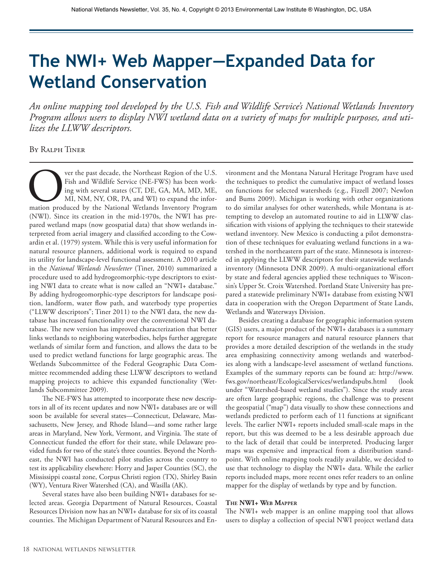# **The NWI+ Web Mapper—Expanded Data for Wetland Conservation**

*An online mapping tool developed by the U.S. Fish and Wildlife Service's National Wetlands Inventory Program allows users to display NWI wetland data on a variety of maps for multiple purposes, and utilizes the LLWW descriptors.* 

By Ralph Tiner

Ver the past decade, the Northeast Region of the U.S.<br>Fish and Wildlife Service (NE-FWS) has been working with several states (CT, DE, GA, MA, MD, ME, MI, NM, NY, OR, PA, and WI) to expand the information produced by the N Fish and Wildlife Service (NE-FWS) has been working with several states (CT, DE, GA, MA, MD, ME, MI, NM, NY, OR, PA, and WI) to expand the information produced by the National Wetlands Inventory Program (NWI). Since its creation in the mid-1970s, the NWI has prepared wetland maps (now geospatial data) that show wetlands interpreted from aerial imagery and classified according to the Cowardin et al. (1979) system. While this is very useful information for natural resource planners, additional work is required to expand its utility for landscape-level functional assessment. A 2010 article in the *National Wetlands Newsletter* (Tiner, 2010) summarized a procedure used to add hydrogeomorphic-type descriptors to existing NWI data to create what is now called an "NWI+ database." By adding hydrogeomorphic-type descriptors for landscape position, landform, water flow path, and waterbody type properties ("LLWW descriptors"; Tiner 2011) to the NWI data, the new database has increased functionality over the conventional NWI database. The new version has improved characterization that better links wetlands to neighboring waterbodies, helps further aggregate wetlands of similar form and function, and allows the data to be used to predict wetland functions for large geographic areas. The Wetlands Subcommittee of the Federal Geographic Data Committee recommended adding these LLWW descriptors to wetland mapping projects to achieve this expanded functionality (Wetlands Subcommittee 2009).

The NE-FWS has attempted to incorporate these new descriptors in all of its recent updates and now NWI+ databases are or will soon be available for several states—Connecticut, Delaware, Massachusetts, New Jersey, and Rhode Island—and some rather large areas in Maryland, New York, Vermont, and Virginia. The state of Connecticut funded the effort for their state, while Delaware provided funds for two of the state's three counties. Beyond the Northeast, the NWI has conducted pilot studies across the country to test its applicability elsewhere: Horry and Jasper Counties (SC), the Mississippi coastal zone, Corpus Christi region (TX), Shirley Basin (WY), Ventura River Watershed (CA), and Wasilla (AK).

Several states have also been building NWI+ databases for selected areas. Georgia Department of Natural Resources, Coastal Resources Division now has an NWI+ database for six of its coastal counties. The Michigan Department of Natural Resources and Environment and the Montana Natural Heritage Program have used the techniques to predict the cumulative impact of wetland losses on functions for selected watersheds (e.g., Fizzell 2007; Newlon and Bums 2009). Michigan is working with other organizations to do similar analyses for other watersheds, while Montana is attempting to develop an automated routine to aid in LLWW classification with visions of applying the techniques to their statewide wetland inventory. New Mexico is conducting a pilot demonstration of these techniques for evaluating wetland functions in a watershed in the northeastern part of the state. Minnesota is interested in applying the LLWW descriptors for their statewide wetlands inventory (Minnesota DNR 2009). A multi-organizational effort by state and federal agencies applied these techniques to Wisconsin's Upper St. Croix Watershed. Portland State University has prepared a statewide preliminary NWI+ database from existing NWI data in cooperation with the Oregon Department of State Lands, Wetlands and Waterways Division.

Besides creating a database for geographic information system (GIS) users, a major product of the NWI+ databases is a summary report for resource managers and natural resource planners that provides a more detailed description of the wetlands in the study area emphasizing connectivity among wetlands and waterbodies along with a landscape-level assessment of wetland functions. Examples of the summary reports can be found at: http://www. fws.gov/northeast/EcologicalServices/wetlandspubs.html (look under "Watershed-based wetland studies"). Since the study areas are often large geographic regions, the challenge was to present the geospatial ("map") data visually to show these connections and wetlands predicted to perform each of 11 functions at significant levels. The earlier NWI+ reports included small-scale maps in the report, but this was deemed to be a less desirable approach due to the lack of detail that could be interpreted. Producing larger maps was expensive and impractical from a distribution standpoint. With online mapping tools readily available, we decided to use that technology to display the NWI+ data. While the earlier reports included maps, more recent ones refer readers to an online mapper for the display of wetlands by type and by function.

#### **The NWI+ Web Mapper**

The NWI+ web mapper is an online mapping tool that allows users to display a collection of special NWI project wetland data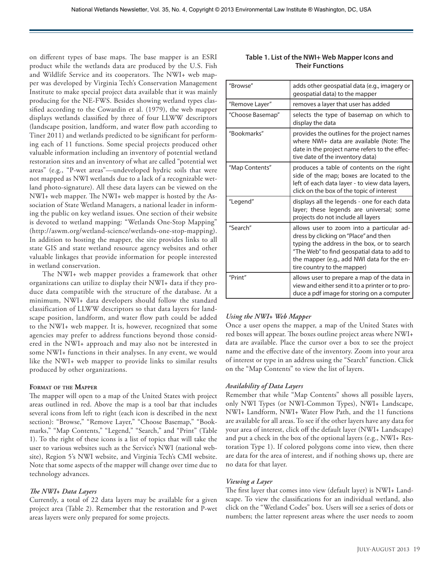on different types of base maps. The base mapper is an ESRI product while the wetlands data are produced by the U.S. Fish and Wildlife Service and its cooperators. The NWI+ web mapper was developed by Virginia Tech's Conservation Management Institute to make special project data available that it was mainly producing for the NE-FWS. Besides showing wetland types classified according to the Cowardin et al. (1979), the web mapper displays wetlands classified by three of four LLWW descriptors (landscape position, landform, and water flow path according to Tiner 2011) and wetlands predicted to be significant for performing each of 11 functions. Some special projects produced other valuable information including an inventory of potential wetland restoration sites and an inventory of what are called "potential wet areas" (e.g., "P-wet areas"—undeveloped hydric soils that were not mapped as NWI wetlands due to a lack of a recognizable wetland photo-signature). All these data layers can be viewed on the NWI+ web mapper. The NWI+ web mapper is hosted by the Association of State Wetland Managers, a national leader in informing the public on key wetland issues. One section of their website is devoted to wetland mapping: "Wetlands One-Stop Mapping" (http://aswm.org/wetland-science/wetlands-one-stop-mapping). In addition to hosting the mapper, the site provides links to all state GIS and state wetland resource agency websites and other valuable linkages that provide information for people interested in wetland conservation.

The NWI+ web mapper provides a framework that other organizations can utilize to display their NWI+ data if they produce data compatible with the structure of the database. At a minimum, NWI+ data developers should follow the standard classification of LLWW descriptors so that data layers for landscape position, landform, and water flow path could be added to the NWI+ web mapper. It is, however, recognized that some agencies may prefer to address functions beyond those considered in the NWI+ approach and may also not be interested in some NWI+ functions in their analyses. In any event, we would like the NWI+ web mapper to provide links to similar results produced by other organizations.

#### **Format of the Mapper**

The mapper will open to a map of the United States with project areas outlined in red. Above the map is a tool bar that includes several icons from left to right (each icon is described in the next section): "Browse," "Remove Layer," "Choose Basemap," "Bookmarks," "Map Contents," "Legend," "Search," and "Print" (Table 1). To the right of these icons is a list of topics that will take the user to various websites such as the Service's NWI (national website), Region 5's NWI website, and Virginia Tech's CMI website. Note that some aspects of the mapper will change over time due to technology advances.

#### *The NWI+ Data Layers*

Currently, a total of 22 data layers may be available for a given project area (Table 2). Remember that the restoration and P-wet areas layers were only prepared for some projects.

| "Browse"         | adds other geospatial data (e.g., imagery or<br>geospatial data) to the mapper                                                                                                                                                                                |
|------------------|---------------------------------------------------------------------------------------------------------------------------------------------------------------------------------------------------------------------------------------------------------------|
| "Remove Layer"   | removes a layer that user has added                                                                                                                                                                                                                           |
| "Choose Basemap" | selects the type of basemap on which to<br>display the data                                                                                                                                                                                                   |
| "Bookmarks"      | provides the outlines for the project names<br>where NWI+ data are available (Note: The<br>date in the project name refers to the effec-<br>tive date of the inventory data)                                                                                  |
| "Map Contents"   | produces a table of contents on the right<br>side of the map; boxes are located to the<br>left of each data layer - to view data layers,<br>click on the box of the topic of interest                                                                         |
| "Legend"         | displays all the legends - one for each data<br>layer; these legends are universal; some<br>projects do not include all layers                                                                                                                                |
| "Search"         | allows user to zoom into a particular ad-<br>dress by clicking on "Place" and then<br>typing the address in the box, or to search<br>"The Web" to find geospatial data to add to<br>the mapper (e.g., add NWI data for the en-<br>tire country to the mapper) |
| "Print"          | allows user to prepare a map of the data in<br>view and either send it to a printer or to pro-<br>duce a pdf image for storing on a computer                                                                                                                  |

### **Table 1. List of the NWI+ Web Mapper Icons and Their Functions**

## *Using the NWI+ Web Mapper*

Once a user opens the mapper, a map of the United States with red boxes will appear. The boxes outline project areas where NWI+ data are available. Place the cursor over a box to see the project name and the effective date of the inventory. Zoom into your area of interest or type in an address using the "Search" function. Click on the "Map Contents" to view the list of layers.

#### *Availability of Data Layers*

Remember that while "Map Contents" shows all possible layers, only NWI Types (or NWI-Common Types), NWI+ Landscape, NWI+ Landform, NWI+ Water Flow Path, and the 11 functions are available for all areas. To see if the other layers have any data for your area of interest, click off the default layer (NWI+ Landscape) and put a check in the box of the optional layers (e.g., NWI+ Restoration Type 1). If colored polygons come into view, then there are data for the area of interest, and if nothing shows up, there are no data for that layer.

#### *Viewing a Layer*

The first layer that comes into view (default layer) is NWI+ Landscape. To view the classifications for an individual wetland, also click on the "Wetland Codes" box. Users will see a series of dots or numbers; the latter represent areas where the user needs to zoom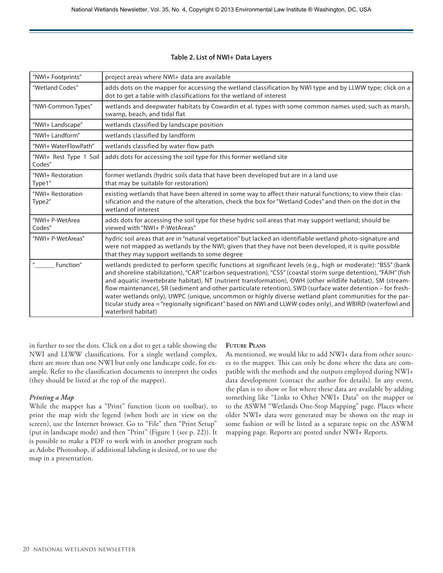#### **Table 2. List of NWI+ Data Layers**

| "NWI+ Footprints"                | project areas where NWI+ data are available                                                                                                                                                                                                                                                                                                                                                                                                                                                                                                                                                                                                                                                              |
|----------------------------------|----------------------------------------------------------------------------------------------------------------------------------------------------------------------------------------------------------------------------------------------------------------------------------------------------------------------------------------------------------------------------------------------------------------------------------------------------------------------------------------------------------------------------------------------------------------------------------------------------------------------------------------------------------------------------------------------------------|
| "Wetland Codes"                  | adds dots on the mapper for accessing the wetland classification by NWI type and by LLWW type; click on a<br>dot to get a table with classifications for the wetland of interest                                                                                                                                                                                                                                                                                                                                                                                                                                                                                                                         |
| "NWI-Common Types"               | wetlands and deepwater habitats by Cowardin et al. types with some common names used, such as marsh,<br>swamp, beach, and tidal flat                                                                                                                                                                                                                                                                                                                                                                                                                                                                                                                                                                     |
| "NWI+ Landscape"                 | wetlands classified by landscape position                                                                                                                                                                                                                                                                                                                                                                                                                                                                                                                                                                                                                                                                |
| "NWI+ Landform"                  | wetlands classified by landform                                                                                                                                                                                                                                                                                                                                                                                                                                                                                                                                                                                                                                                                          |
| "NWI+ WaterFlowPath"             | wetlands classified by water flow path                                                                                                                                                                                                                                                                                                                                                                                                                                                                                                                                                                                                                                                                   |
| "NWI+ Rest Type 1 Soil<br>Codes" | adds dots for accessing the soil type for this former wetland site                                                                                                                                                                                                                                                                                                                                                                                                                                                                                                                                                                                                                                       |
| "NWI+ Restoration<br>Type1"      | former wetlands (hydric soils data that have been developed but are in a land use<br>that may be suitable for restoration)                                                                                                                                                                                                                                                                                                                                                                                                                                                                                                                                                                               |
| "NWI+ Restoration<br>Type2"      | existing wetlands that have been altered in some way to affect their natural functions; to view their clas-<br>sification and the nature of the alteration, check the box for "Wetland Codes" and then on the dot in the<br>wetland of interest                                                                                                                                                                                                                                                                                                                                                                                                                                                          |
| "NWI+ P-WetArea<br>Codes"        | adds dots for accessing the soil type for these hydric soil areas that may support wetland; should be<br>viewed with "NWI+ P-WetAreas"                                                                                                                                                                                                                                                                                                                                                                                                                                                                                                                                                                   |
| "NWI+ P-WetAreas"                | hydric soil areas that are in "natural vegetation" but lacked an identifiable wetland photo-signature and<br>were not mapped as wetlands by the NWI; given that they have not been developed, it is quite possible<br>that they may support wetlands to some degree                                                                                                                                                                                                                                                                                                                                                                                                                                      |
| Function"                        | wetlands predicted to perform specific functions at significant levels (e.g., high or moderate): "BSS" (bank<br>and shoreline stabilization), "CAR" (carbon sequestration), "CSS" (coastal storm surge detention), "FAIH" (fish<br>and aquatic invertebrate habitat), NT (nutrient transformation), OWH (other wildlife habitat), SM (stream-<br>flow maintenance), SR (sediment and other particulate retention), SWD (surface water detention - for fresh-<br>water wetlands only), UWPC (unique, uncommon or highly diverse wetland plant communities for the par-<br>ticular study area = "regionally significant" based on NWI and LLWW codes only), and WBIRD (waterfowI and<br>waterbird habitat) |

in further to see the dots. Click on a dot to get a table showing the NWI and LLWW classifications. For a single wetland complex, there are more than one NWI but only one landscape code, for example. Refer to the classification documents to interpret the codes (they should be listed at the top of the mapper).

#### *Printing a Map*

While the mapper has a "Print" function (icon on toolbar), to print the map with the legend (when both are in view on the screen), use the Internet browser. Go to "File" then "Print Setup" (put in landscape mode) and then "Print" (Figure 1 (see p. 22)). It is possible to make a PDF to work with in another program such as Adobe Photoshop, if additional labeling is desired, or to use the map in a presentation.

#### **Future Plans**

As mentioned, we would like to add NWI+ data from other sources to the mapper. This can only be done where the data are compatible with the methods and the outputs employed during NWI+ data development (contact the author for details). In any event, the plan is to show or list where these data are available by adding something like "Links to Other NWI+ Data" on the mapper or to the ASWM "Wetlands One-Stop Mapping" page. Places where older NWI+ data were generated may be shown on the map in some fashion or will be listed as a separate topic on the ASWM mapping page. Reports are posted under NWI+ Reports.